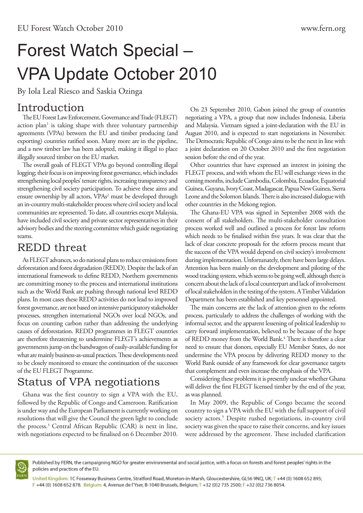## Forest Watch Special – VPA Update October 2010

By Iola Leal Riesco and Saskia Ozinga

## Introduction

The EU Forest Law Enforcement, Governance and Trade (FLEGT) action plan<sup>1</sup> is taking shape with three voluntary partnership agreements (VPAs) between the EU and timber producing (and exporting) countries ratified soon. Many more are in the pipeline, and a new timber law has been adopted, making it illegal to place illegally sourced timber on the EU market.

The overall goals of FLEGT VPAs go beyond controlling illegal logging; their focus is on improving forest governance, which includes strengthening local peoples' tenure rights, increasing transparency and strengthening civil society participation. To achieve these aims and ensure ownership by all actors, VPAs<sup>2</sup> must be developed through an in-country multi-stakeholder process where civil society and local communities are represented. To date, all countries except Malaysia, have included civil society and private sector representatives in their advisory bodies and the steering committee which guide negotiating teams.

## REDD threat

As FLEGT advances, so do national plans to reduce emissions from deforestation and forest degradation (REDD). Despite the lack of an international framework to define REDD, Northern governments are committing money to the process and international institutions such as the World Bank are pushing through national level REDD plans. In most cases these REDD activities do not lead to improved forest governance, are not based on intensive participatory stakeholder processes, strengthen international NGOs over local NGOs, and focus on counting carbon rather than addressing the underlying causes of deforestation. REDD programmes in FLEGT countries are therefore threatening to undermine FLEGT's achievements as governments jump on the bandwagon of easily-available funding for what are mainly business-as-usual practices. These developments need to be closely monitored to ensure the continuation of the successes of the EU FLEGT Programme.

## Status of VPA negotiations

Ghana was the first country to sign a VPA with the EU, followed by the Republic of Congo and Cameroon. Ratification is under way and the European Parliament is currently working on resolutions that will give the Council the green light to conclude the process.3 Central African Republic (CAR) is next in line, with negotiations expected to be finalised on 6 December 2010.

On 23 September 2010, Gabon joined the group of countries negotiating a VPA, a group that now includes Indonesia, Liberia and Malaysia. Vietnam signed a joint-declaration with the EU in August 2010, and is expected to start negotiations in November. The Democratic Republic of Congo aims to be the next in line with a joint declaration on 20 October 2010 and the first negotiation session before the end of the year.

Other countries that have expressed an interest in joining the FLEGT process, and with whom the EU will exchange views in the coming months, include Cambodia, Colombia, Ecuador, Equatorial Guinea, Guyana, Ivory Coast, Madagascar, Papua New Guinea, Sierra Leone and the Solomon Islands. There is also increased dialogue with other countries in the Mekong region.

The Ghana-EU VPA was signed in September 2008 with the consent of all stakeholders. The multi-stakeholder consultation process worked well and outlined a process for forest law reform which needs to be finalised within five years. It was clear that the lack of clear concrete proposals for the reform process meant that the success of the VPA would depend on civil society's involvement during implementation. Unfortunately, there have been large delays. Attention has been mainly on the development and piloting of the wood tracking system, which seems to be going well, although there is concern about the lack of a local counterpart and lack of involvement of local stakeholders in the testing of the system. A Timber Validation Department has been established and key personnel appointed.

The main concerns are the lack of attention given to the reform process, particularly to address the challenges of working with the informal sector, and the apparent lessening of political leadership to carry forward implementation, believed to be because of the hope of REDD money from the World Bank.<sup>4</sup> There is therefore a clear need to ensure that donors, especially EU Member States, do not undermine the VPA process by delivering REDD money to the World Bank outside of any framework for clear governance targets that complement and even increase the emphasis of the VPA.

Considering these problems it is presently unclear whether Ghana will deliver the first FLEGT licensed timber by the end of the year, as was planned.

In May 2009, the Republic of Congo became the second country to sign a VPA with the EU with the full support of civil society actors.<sup>5</sup> Despite rushed negotiations, in-country civil society was given the space to raise their concerns, and key issues were addressed by the agreement. These included clarification



Published by FERN, the campaigning NGO for greater environmental and social justice, with a focus on forests and forest peoples' rights in the policies and practices of the EU.

United Kingdom: 1C Fosseway Business Centre, Stratford Road, Moreton-in-Marsh, Gloucestershire, GL56 9NQ, UK; T +44 (0) 1608 652 895; F +44 (0) 1608 652 878. Belgium: 4, Avenue de l'Yser, B-1040 Brussels, Belgium; T +32 (0)2 735 2500; F +32 (0)2 736 8054.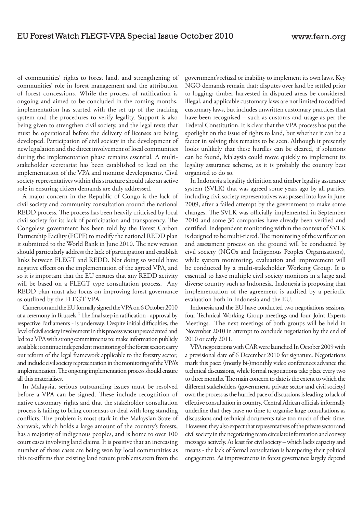of communities' rights to forest land, and strengthening of communities' role in forest management and the attribution of forest concessions. While the process of ratification is ongoing and aimed to be concluded in the coming months, implementation has started with the set up of the tracking system and the procedures to verify legality. Support is also being given to strengthen civil society, and the legal texts that must be operational before the delivery of licenses are being developed. Participation of civil society in the development of new legislation and the direct involvement of local communities during the implementation phase remains essential. A multistakeholder secretariat has been established to lead on the implementation of the VPA and monitor developments. Civil society representatives within this structure should take an active role in ensuring citizen demands are duly addressed.

A major concern in the Republic of Congo is the lack of civil society and community consultation around the national REDD process. The process has been heavily criticised by local civil society for its lack of participation and transparency. The Congolese government has been told by the Forest Carbon Partnership Facility (FCPF) to modify the national REDD plan it submitted to the World Bank in June 2010. The new version should particularly address the lack of participation and establish links between FLEGT and REDD. Not doing so would have negative effects on the implementation of the agreed VPA, and so it is important that the EU ensures that any REDD activity will be based on a FLEGT type consultation process. Any REDD plan must also focus on improving forest governance as outlined by the FLEGT VPA.

Cameroon and the EU formally signed the VPA on 6 October 2010 at a ceremony in Brussels.<sup>6</sup> The final step in ratification - approval by respective Parliaments - is underway. Despite initial difficulties, the level of civil society involvement in this process was unprecedented and led to a VPA with strong commitments to: make information publicly available; continue independent monitoring of the forest sector; carry out reform of the legal framework applicable to the forestry sector; and include civil society representation in the monitoring of the VPA's implementation. The ongoing implementation process should ensure all this materialises.

In Malaysia, serious outstanding issues must be resolved before a VPA can be signed. These include recognition of native customary rights and that the stakeholder consultation process is failing to bring consensus or deal with long standing conflicts. The problem is most stark in the Malaysian State of Sarawak, which holds a large amount of the country's forests, has a majority of indigenous peoples, and is home to over 100 court cases involving land claims. It is positive that an increasing number of these cases are being won by local communities as this re-affirms that existing land tenure problems stem from the

government's refusal or inability to implement its own laws. Key NGO demands remain that: disputes over land be settled prior to logging; timber harvested in disputed areas be considered illegal, and applicable customary laws are not limited to codified customary laws, but includes unwritten customary practices that have been recognised – such as customs and usage as per the Federal Constitution. It is clear that the VPA process has put the spotlight on the issue of rights to land, but whether it can be a factor in solving this remains to be seen. Although it presently looks unlikely that these hurdles can be cleared, if solutions can be found, Malaysia could move quickly to implement its legality assurance scheme, as it is probably the country best organised to do so.

In Indonesia a legality definition and timber legality assurance system (SVLK) that was agreed some years ago by all parties, including civil society representatives was passed into law in June 2009, after a failed attempt by the government to make some changes. The SVLK was officially implemented in September 2010 and some 30 companies have already been verified and certified. Independent monitoring within the context of SVLK is designed to be multi-tiered. The monitoring of the verification and assessment process on the ground will be conducted by civil society (NGOs and Indigenous Peoples Organisations), while system monitoring, evaluation and improvement will be conducted by a multi-stakeholder Working Group. It is essential to have multiple civil society monitors in a large and diverse country such as Indonesia. Indonesia is proposing that implementation of the agreement is audited by a periodic evaluation both in Indonesia and the EU.

Indonesia and the EU have conducted two negotiations sessions, four Technical Working Group meetings and four Joint Experts Meetings. The next meetings of both groups will be held in November 2010 in attempt to conclude negotiation by the end of 2010 or early 2011.

VPA negotiations with CAR were launched In October 2009 with a provisional date of 6 December 2010 for signature. Negotiations mark this pace: (mostly bi-)monthly video conferences advance the technical discussions, while formal negotiations take place every two to three months. The main concern to date is the extent to which the different stakeholders (government, private sector and civil society) own the process as the hurried pace of discussions is leading to lack of effective consultation in country. Central African officials informally underline that they have no time to organise large consultations as discussions and technical documents take too much of their time. However, they also expect that representatives of the private sector and civil society in the negotiating team circulate information and convey messages actively. At least for civil society – which lacks capacity and means - the lack of formal consultation is hampering their political engagement. As improvements in forest governance largely depend